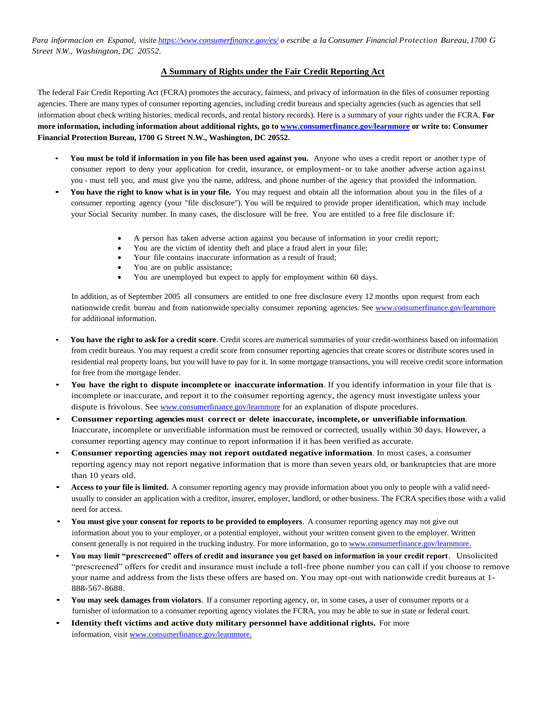Para informacion en Espanol, visite <https://www.consumerfinance.gov/es/> o escribe a la Consumer Financial Protection Bureau, 1700 G *Street N.W., Washington, DC 20552.*

## **A Summary of Rights under the Fair Credit Reporting Act**

The federal Fair Credit Reporting Act (FCRA) promotes the accuracy, fairness, and privacy of information in the files of consumer reporting agencies. There are many types of consumer reporting agencies, including credit bureaus and specialty agencies (such as agencies that sell information about check writing histories, medical records, and rental history records). Here is a summary of your rights under the FCRA. **For more information, including information about additional rights, go t[o www.consumerfinance.gov/learnmore](http://www.consumerfinance.gov/learnmore) or write to: Consumer Financial Protection Bureau, 1700 G Street N.W., Washington, DC 20552.**

- **You must be told if information in you file has been used against you.** Anyone who uses a credit report or another type of consumer report to deny your application for credit, insurance, or employment- or to take another adverse action against you - must tell you, and must give you the name, address, and phone number of the agency that provided the information.
- **You have the right to know what is in your file.** You may request and obtain all the information about you in the files of <sup>a</sup> consumer reporting agency (your "file disclosure"). You will be required to provide proper identification, which may include your Social Security number. In many cases, the disclosure will be free. You are entitled to a free file disclosure if:
	- A person has taken adverse action against you because of information in your credit report;
	- You are the victim of identity theft and place a fraud alert in your file;
	- Your file contains inaccurate information as a result of fraud;
	- You are on public assistance;
	- You are unemployed but expect to apply for employment within 60 days.

In addition, as of September 2005 all consumers are entitled to one free disclosure every 12 months upon request from each nationwide credit bureau and from nationwide specialty consumer reporting agencies. See <www.consumerfinance.gov/learnmore> for additional information.

- **You have the right to ask for a credit score**. Credit scores are numerical summaries of your credit-worthiness based on information from credit bureaus. You may request a credit score from consumer reporting agencies that create scores or distribute scores used in residential real property loans, but you will have to pay for it. In some mortgage transactions, you will receive credit score information for free from the mortgage lender.
- **You have the right to dispute incomplete or inaccurate information**. If you identify information in your file that is incomplete or inaccurate, and report it to the consumer reporting agency, the agency must investigate unless your dispute is frivolous. See [www.consumerfinance.gov/learnmore](file:///C:/Users/tkaylor/AppData/Local/Microsoft/Windows/Temporary%20Internet%20Files/Content.Outlook/V62RJ2PB/www.consumerfinance.gov/learnmore) [f](file:///C:/Users/tkaylor/AppData/Local/Microsoft/Windows/Temporary%20Internet%20Files/Content.Outlook/V62RJ2PB/www.consumerfinance.gov/learnmore)or an explanation of dispute procedures.
- **Consumer reporting agencies must correct or delete inaccurate, incomplete, or unverifiable information**. Inaccurate, incomplete or unverifiable information must be removed or corrected, usually within 30 days. However, a consumer reporting agency may continue to report information if it has been verified as accurate.
- **Consumer reporting agencies may not report outdated negative information**. In most cases, a consumer reporting agency may not report negative information that is more than seven years old, or bankruptcies that are more than 10 years old.
- **Access to your file is limited.** A consumer reporting agency may provide information about you only to people with a valid needusually to consider an application with a creditor, insurer, employer, landlord, or other business. The FCRA specifies those with a valid need for access.
- **You must give your consent for reports to be provided to employers**. A consumer reporting agency may not give out information about you to your employer, or a potential employer, without your written consent given to the employer. Written consent generally is not required in the trucking industry. For more information, go to [www.consumerfinance.gov/learnmore.](file:///C:/Users/tkaylor/AppData/Local/Microsoft/Windows/Temporary%20Internet%20Files/Content.Outlook/V62RJ2PB/www.consumerfinance.gov/learnmore)
- **You may limit "prescreened" offers of credit and insurance you get based on information in your credit report**. Unsolicited "prescreened" offers for credit and insurance must include a toll-free phone number you can call if you choose to remove your name and address from the lists these offers are based on. You may opt-out with nationwide credit bureaus at 1- 888-567-8688.
- **You may seek damages from violators**. If a consumer reporting agency, or, in some cases, a user of consumer reports or a furnisher of information to a consumer reporting agency violates the FCRA, you may be able to sue in state or federal court.
- **Identity theft victims and active duty military personnel have additional rights.** For more information, visit [www.consumerfinance.gov/learnmore.](file:///C:/Users/tkaylor/AppData/Local/Microsoft/Windows/Temporary%20Internet%20Files/Content.Outlook/V62RJ2PB/www.consumerfinance.gov/learnmore)